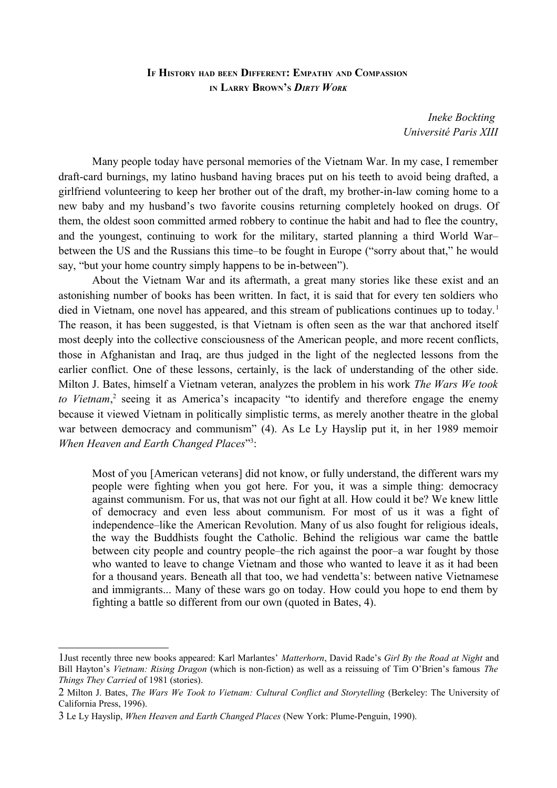## **IF HISTORY HAD BEEN DIFFERENT: EMPATHY AND COMPASSION IN LARRY BROWN'<sup>S</sup>** *DIRTY WORK*

*Ineke Bockting Université Paris XIII*

Many people today have personal memories of the Vietnam War. In my case, I remember draft-card burnings, my latino husband having braces put on his teeth to avoid being drafted, a girlfriend volunteering to keep her brother out of the draft, my brother-in-law coming home to a new baby and my husband's two favorite cousins returning completely hooked on drugs. Of them, the oldest soon committed armed robbery to continue the habit and had to flee the country, and the youngest, continuing to work for the military, started planning a third World War– between the US and the Russians this time–to be fought in Europe ("sorry about that," he would say, "but your home country simply happens to be in-between").

About the Vietnam War and its aftermath, a great many stories like these exist and an astonishing number of books has been written. In fact, it is said that for every ten soldiers who died in Vietnam, one novel has appeared, and this stream of publications continues up to today.<sup>[1](#page-0-0)</sup> The reason, it has been suggested, is that Vietnam is often seen as the war that anchored itself most deeply into the collective consciousness of the American people, and more recent conflicts, those in Afghanistan and Iraq, are thus judged in the light of the neglected lessons from the earlier conflict. One of these lessons, certainly, is the lack of understanding of the other side. Milton J. Bates, himself a Vietnam veteran, analyzes the problem in his work *The Wars We took* to Vietnam,<sup>[2](#page-0-1)</sup> seeing it as America's incapacity "to identify and therefore engage the enemy because it viewed Vietnam in politically simplistic terms, as merely another theatre in the global war between democracy and communism" (4). As Le Ly Hayslip put it, in her 1989 memoir When Heaven and Earth Changed Places"<sup>[3](#page-0-2)</sup>:

Most of you [American veterans] did not know, or fully understand, the different wars my people were fighting when you got here. For you, it was a simple thing: democracy against communism. For us, that was not our fight at all. How could it be? We knew little of democracy and even less about communism. For most of us it was a fight of independence–like the American Revolution. Many of us also fought for religious ideals, the way the Buddhists fought the Catholic. Behind the religious war came the battle between city people and country people–the rich against the poor–a war fought by those who wanted to leave to change Vietnam and those who wanted to leave it as it had been for a thousand years. Beneath all that too, we had vendetta's: between native Vietnamese and immigrants... Many of these wars go on today. How could you hope to end them by fighting a battle so different from our own (quoted in Bates, 4).

<span id="page-0-0"></span><sup>1</sup>Just recently three new books appeared: Karl Marlantes' *Matterhorn*, David Rade's *Girl By the Road at Night* and Bill Hayton's *Vietnam: Rising Dragon* (which is non-fiction) as well as a reissuing of Tim O'Brien's famous *The Things They Carried* of 1981 (stories).

<span id="page-0-1"></span><sup>2</sup> Milton J. Bates, *The Wars We Took to Vietnam: Cultural Conflict and Storytelling* (Berkeley: The University of California Press, 1996).

<span id="page-0-2"></span><sup>3</sup> Le Ly Hayslip, *When Heaven and Earth Changed Places* (New York: Plume-Penguin, 1990).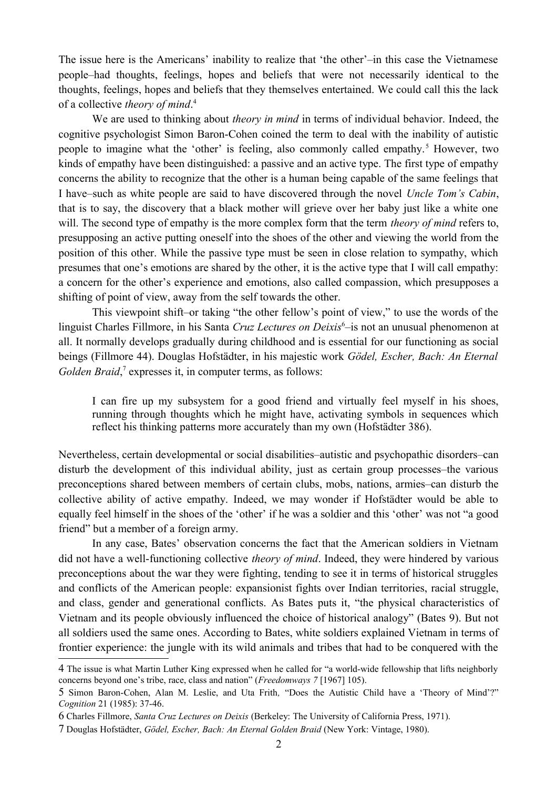The issue here is the Americans' inability to realize that 'the other'–in this case the Vietnamese people–had thoughts, feelings, hopes and beliefs that were not necessarily identical to the thoughts, feelings, hopes and beliefs that they themselves entertained. We could call this the lack of a collective *theory of mind*. [4](#page-1-0)

We are used to thinking about *theory in mind* in terms of individual behavior. Indeed, the cognitive psychologist Simon Baron-Cohen coined the term to deal with the inability of autistic people to imagine what the 'other' is feeling, also commonly called empathy.<sup>[5](#page-1-1)</sup> However, two kinds of empathy have been distinguished: a passive and an active type. The first type of empathy concerns the ability to recognize that the other is a human being capable of the same feelings that I have–such as white people are said to have discovered through the novel *Uncle Tom's Cabin*, that is to say, the discovery that a black mother will grieve over her baby just like a white one will. The second type of empathy is the more complex form that the term *theory of mind* refers to, presupposing an active putting oneself into the shoes of the other and viewing the world from the position of this other. While the passive type must be seen in close relation to sympathy, which presumes that one's emotions are shared by the other, it is the active type that I will call empathy: a concern for the other's experience and emotions, also called compassion, which presupposes a shifting of point of view, away from the self towards the other.

This viewpoint shift–or taking "the other fellow's point of view," to use the words of the linguist Charles Fillmore, in his Santa Cruz Lectures on Deixis<sup>[6](#page-1-2)</sup>-is not an unusual phenomenon at all. It normally develops gradually during childhood and is essential for our functioning as social beings (Fillmore 44). Douglas Hofstädter, in his majestic work *Gödel, Escher, Bach: An Eternal* Golden Braid,<sup>[7](#page-1-3)</sup> expresses it, in computer terms, as follows:

I can fire up my subsystem for a good friend and virtually feel myself in his shoes, running through thoughts which he might have, activating symbols in sequences which reflect his thinking patterns more accurately than my own (Hofstädter 386).

Nevertheless, certain developmental or social disabilities–autistic and psychopathic disorders–can disturb the development of this individual ability, just as certain group processes–the various preconceptions shared between members of certain clubs, mobs, nations, armies–can disturb the collective ability of active empathy. Indeed, we may wonder if Hofstädter would be able to equally feel himself in the shoes of the 'other' if he was a soldier and this 'other' was not "a good friend" but a member of a foreign army.

In any case, Bates' observation concerns the fact that the American soldiers in Vietnam did not have a well-functioning collective *theory of mind*. Indeed, they were hindered by various preconceptions about the war they were fighting, tending to see it in terms of historical struggles and conflicts of the American people: expansionist fights over Indian territories, racial struggle, and class, gender and generational conflicts. As Bates puts it, "the physical characteristics of Vietnam and its people obviously influenced the choice of historical analogy" (Bates 9). But not all soldiers used the same ones. According to Bates, white soldiers explained Vietnam in terms of frontier experience: the jungle with its wild animals and tribes that had to be conquered with the

<span id="page-1-0"></span><sup>4</sup> The issue is what Martin Luther King expressed when he called for "a world-wide fellowship that lifts neighborly concerns beyond one's tribe, race, class and nation" (*Freedomways 7* [1967] 105).

<span id="page-1-1"></span><sup>5</sup> Simon Baron-Cohen, Alan M. Leslie, and Uta Frith*,* "Does the Autistic Child have a 'Theory of Mind'?" *Cognition* 21 (1985): 37-46.

<span id="page-1-2"></span><sup>6</sup> Charles Fillmore, *Santa Cruz Lectures on Deixis* (Berkeley: The University of California Press, 1971).

<span id="page-1-3"></span><sup>7</sup> Douglas Hofstädter, *Gödel, Escher, Bach: An Eternal Golden Braid* (New York: Vintage, 1980).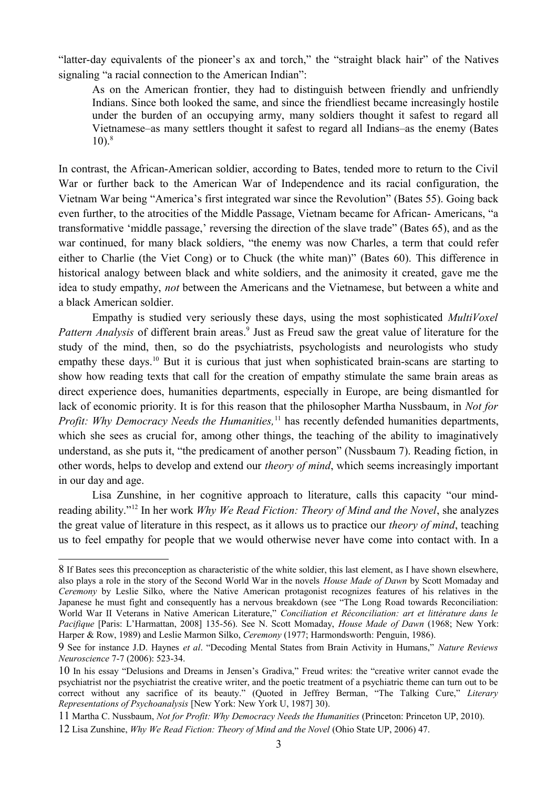"latter-day equivalents of the pioneer's ax and torch," the "straight black hair" of the Natives signaling "a racial connection to the American Indian":

As on the American frontier, they had to distinguish between friendly and unfriendly Indians. Since both looked the same, and since the friendliest became increasingly hostile under the burden of an occupying army, many soldiers thought it safest to regard all Vietnamese–as many settlers thought it safest to regard all Indians–as the enemy (Bates  $10^{8}$  $10^{8}$  $10^{8}$ 

In contrast, the African-American soldier, according to Bates, tended more to return to the Civil War or further back to the American War of Independence and its racial configuration, the Vietnam War being "America's first integrated war since the Revolution" (Bates 55). Going back even further, to the atrocities of the Middle Passage, Vietnam became for African- Americans, "a transformative 'middle passage,' reversing the direction of the slave trade" (Bates 65), and as the war continued, for many black soldiers, "the enemy was now Charles, a term that could refer either to Charlie (the Viet Cong) or to Chuck (the white man)" (Bates 60). This difference in historical analogy between black and white soldiers, and the animosity it created, gave me the idea to study empathy, *not* between the Americans and the Vietnamese, but between a white and a black American soldier.

Empathy is studied very seriously these days, using the most sophisticated *MultiVoxel* Pattern Analysis of different brain areas.<sup>[9](#page-2-1)</sup> Just as Freud saw the great value of literature for the study of the mind, then, so do the psychiatrists, psychologists and neurologists who study empathy these days.<sup>[10](#page-2-2)</sup> But it is curious that just when sophisticated brain-scans are starting to show how reading texts that call for the creation of empathy stimulate the same brain areas as direct experience does, humanities departments, especially in Europe, are being dismantled for lack of economic priority. It is for this reason that the philosopher Martha Nussbaum, in *Not for Profit: Why Democracy Needs the Humanities*,<sup>[11](#page-2-3)</sup> has recently defended humanities departments, which she sees as crucial for, among other things, the teaching of the ability to imaginatively understand, as she puts it, "the predicament of another person" (Nussbaum 7). Reading fiction, in other words, helps to develop and extend our *theory of mind*, which seems increasingly important in our day and age.

Lisa Zunshine, in her cognitive approach to literature, calls this capacity "our mindreading ability."[12](#page-2-4) In her work *Why We Read Fiction: Theory of Mind and the Novel*, she analyzes the great value of literature in this respect, as it allows us to practice our *theory of mind*, teaching us to feel empathy for people that we would otherwise never have come into contact with. In a

<span id="page-2-0"></span><sup>8</sup> If Bates sees this preconception as characteristic of the white soldier, this last element, as I have shown elsewhere, also plays a role in the story of the Second World War in the novels *House Made of Dawn* by Scott Momaday and *Ceremony* by Leslie Silko, where the Native American protagonist recognizes features of his relatives in the Japanese he must fight and consequently has a nervous breakdown (see "The Long Road towards Reconciliation: World War II Veterans in Native American Literature," *Conciliation et Réconciliation: art et littérature dans le Pacifique* [Paris: L'Harmattan, 2008] 135-56). See N. Scott Momaday, *House Made of Dawn* (1968; New York: Harper & Row, 1989) and Leslie Marmon Silko, *Ceremony* (1977; Harmondsworth: Penguin, 1986).

<span id="page-2-1"></span><sup>9</sup> See for instance J.D. Haynes *et al*. "Decoding Mental States from Brain Activity in Humans," *Nature Reviews Neuroscience* 7-7 (2006): 523-34.

<span id="page-2-2"></span><sup>10</sup> In his essay "Delusions and Dreams in Jensen's Gradiva," Freud writes: the "creative writer cannot evade the psychiatrist nor the psychiatrist the creative writer, and the poetic treatment of a psychiatric theme can turn out to be correct without any sacrifice of its beauty." (Quoted in Jeffrey Berman, "The Talking Cure," *Literary Representations of Psychoanalysis* [New York: New York U, 1987] 30).

<span id="page-2-3"></span><sup>11</sup> Martha C. Nussbaum, *Not for Profit: Why Democracy Needs the Humanities* (Princeton: Princeton UP, 2010).

<span id="page-2-4"></span><sup>12</sup> Lisa Zunshine, *Why We Read Fiction: Theory of Mind and the Novel* (Ohio State UP, 2006) 47.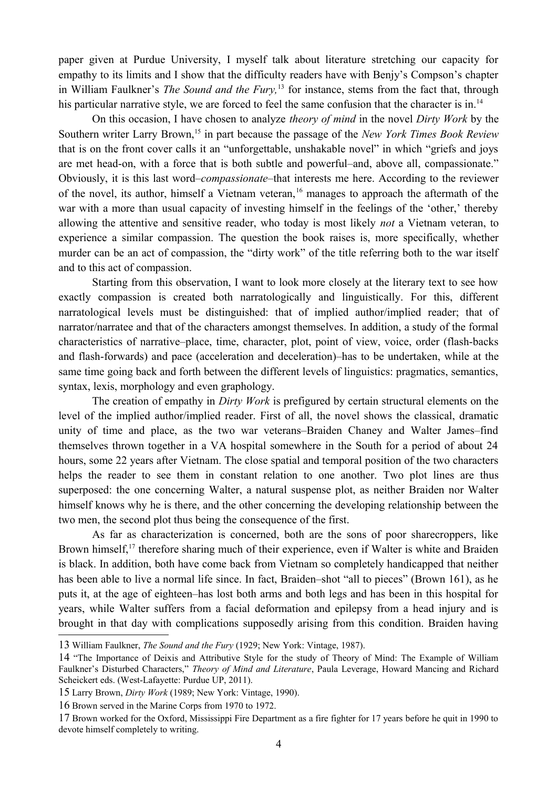paper given at Purdue University, I myself talk about literature stretching our capacity for empathy to its limits and I show that the difficulty readers have with Benjy's Compson's chapter in William Faulkner's *The Sound and the Fury,*[13](#page-3-0) for instance, stems from the fact that, through his particular narrative style, we are forced to feel the same confusion that the character is in.<sup>[14](#page-3-1)</sup>

On this occasion, I have chosen to analyze *theory of mind* in the novel *Dirty Work* by the Southern writer Larry Brown,<sup>[15](#page-3-2)</sup> in part because the passage of the *New York Times Book Review* that is on the front cover calls it an "unforgettable, unshakable novel" in which "griefs and joys are met head-on, with a force that is both subtle and powerful–and, above all, compassionate." Obviously, it is this last word–*compassionate*–that interests me here. According to the reviewer of the novel, its author, himself a Vietnam veteran,<sup>[16](#page-3-3)</sup> manages to approach the aftermath of the war with a more than usual capacity of investing himself in the feelings of the 'other,' thereby allowing the attentive and sensitive reader, who today is most likely *not* a Vietnam veteran, to experience a similar compassion. The question the book raises is, more specifically, whether murder can be an act of compassion, the "dirty work" of the title referring both to the war itself and to this act of compassion.

Starting from this observation, I want to look more closely at the literary text to see how exactly compassion is created both narratologically and linguistically. For this, different narratological levels must be distinguished: that of implied author/implied reader; that of narrator/narratee and that of the characters amongst themselves. In addition, a study of the formal characteristics of narrative–place, time, character, plot, point of view, voice, order (flash-backs and flash-forwards) and pace (acceleration and deceleration)–has to be undertaken, while at the same time going back and forth between the different levels of linguistics: pragmatics, semantics, syntax, lexis, morphology and even graphology.

The creation of empathy in *Dirty Work* is prefigured by certain structural elements on the level of the implied author/implied reader. First of all, the novel shows the classical, dramatic unity of time and place, as the two war veterans–Braiden Chaney and Walter James–find themselves thrown together in a VA hospital somewhere in the South for a period of about 24 hours, some 22 years after Vietnam. The close spatial and temporal position of the two characters helps the reader to see them in constant relation to one another. Two plot lines are thus superposed: the one concerning Walter, a natural suspense plot, as neither Braiden nor Walter himself knows why he is there, and the other concerning the developing relationship between the two men, the second plot thus being the consequence of the first.

As far as characterization is concerned, both are the sons of poor sharecroppers, like Brown himself,<sup>[17](#page-3-4)</sup> therefore sharing much of their experience, even if Walter is white and Braiden is black. In addition, both have come back from Vietnam so completely handicapped that neither has been able to live a normal life since. In fact, Braiden–shot "all to pieces" (Brown 161), as he puts it, at the age of eighteen–has lost both arms and both legs and has been in this hospital for years, while Walter suffers from a facial deformation and epilepsy from a head injury and is brought in that day with complications supposedly arising from this condition. Braiden having

<span id="page-3-0"></span><sup>13</sup> William Faulkner, *The Sound and the Fury* (1929; New York: Vintage, 1987).

<span id="page-3-1"></span><sup>14</sup> "The Importance of Deixis and Attributive Style for the study of Theory of Mind: The Example of William Faulkner's Disturbed Characters," *Theory of Mind and Literature*, Paula Leverage, Howard Mancing and Richard Scheickert eds. (West-Lafayette: Purdue UP, 2011).

<span id="page-3-2"></span><sup>15</sup> Larry Brown, *Dirty Work* (1989; New York: Vintage, 1990).

<span id="page-3-3"></span><sup>16</sup> Brown served in the Marine Corps from 1970 to 1972.

<span id="page-3-4"></span><sup>17</sup> Brown worked for the Oxford, Mississippi Fire Department as a fire fighter for 17 years before he quit in 1990 to devote himself completely to writing.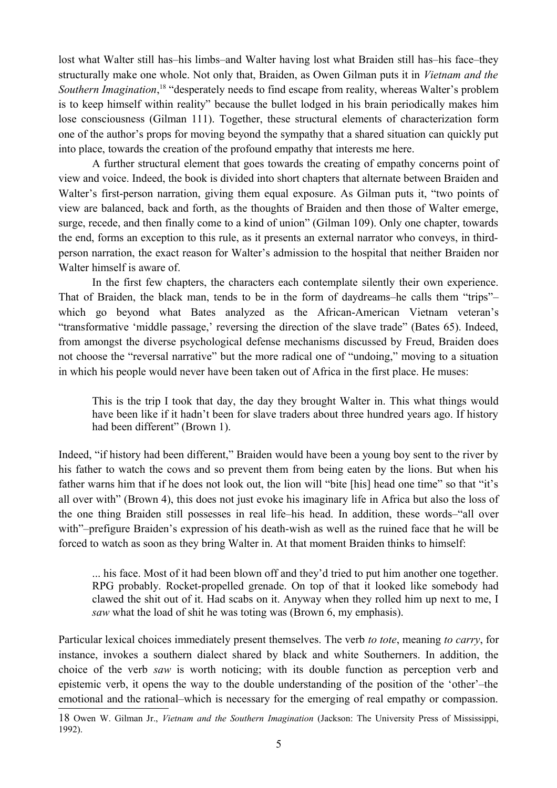lost what Walter still has–his limbs–and Walter having lost what Braiden still has–his face–they structurally make one whole. Not only that, Braiden, as Owen Gilman puts it in *Vietnam and the* Southern Imagination,<sup>[18](#page-4-0)</sup> "desperately needs to find escape from reality, whereas Walter's problem is to keep himself within reality" because the bullet lodged in his brain periodically makes him lose consciousness (Gilman 111). Together, these structural elements of characterization form one of the author's props for moving beyond the sympathy that a shared situation can quickly put into place, towards the creation of the profound empathy that interests me here.

A further structural element that goes towards the creating of empathy concerns point of view and voice. Indeed, the book is divided into short chapters that alternate between Braiden and Walter's first-person narration, giving them equal exposure. As Gilman puts it, "two points of view are balanced, back and forth, as the thoughts of Braiden and then those of Walter emerge, surge, recede, and then finally come to a kind of union" (Gilman 109). Only one chapter, towards the end, forms an exception to this rule, as it presents an external narrator who conveys, in thirdperson narration, the exact reason for Walter's admission to the hospital that neither Braiden nor Walter himself is aware of.

In the first few chapters, the characters each contemplate silently their own experience. That of Braiden, the black man, tends to be in the form of daydreams–he calls them "trips"– which go beyond what Bates analyzed as the African-American Vietnam veteran's "transformative 'middle passage,' reversing the direction of the slave trade" (Bates 65). Indeed, from amongst the diverse psychological defense mechanisms discussed by Freud, Braiden does not choose the "reversal narrative" but the more radical one of "undoing," moving to a situation in which his people would never have been taken out of Africa in the first place. He muses:

This is the trip I took that day, the day they brought Walter in. This what things would have been like if it hadn't been for slave traders about three hundred years ago. If history had been different" (Brown 1).

Indeed, "if history had been different," Braiden would have been a young boy sent to the river by his father to watch the cows and so prevent them from being eaten by the lions. But when his father warns him that if he does not look out, the lion will "bite [his] head one time" so that "it's all over with" (Brown 4), this does not just evoke his imaginary life in Africa but also the loss of the one thing Braiden still possesses in real life–his head. In addition, these words–"all over with"–prefigure Braiden's expression of his death-wish as well as the ruined face that he will be forced to watch as soon as they bring Walter in. At that moment Braiden thinks to himself:

... his face. Most of it had been blown off and they'd tried to put him another one together. RPG probably. Rocket-propelled grenade. On top of that it looked like somebody had clawed the shit out of it. Had scabs on it. Anyway when they rolled him up next to me, I *saw* what the load of shit he was toting was (Brown 6, my emphasis).

Particular lexical choices immediately present themselves. The verb *to tote*, meaning *to carry*, for instance, invokes a southern dialect shared by black and white Southerners. In addition, the choice of the verb *saw* is worth noticing; with its double function as perception verb and epistemic verb, it opens the way to the double understanding of the position of the 'other'–the emotional and the rational–which is necessary for the emerging of real empathy or compassion.

<span id="page-4-0"></span><sup>18</sup> Owen W. Gilman Jr., *Vietnam and the Southern Imagination* (Jackson: The University Press of Mississippi, 1992).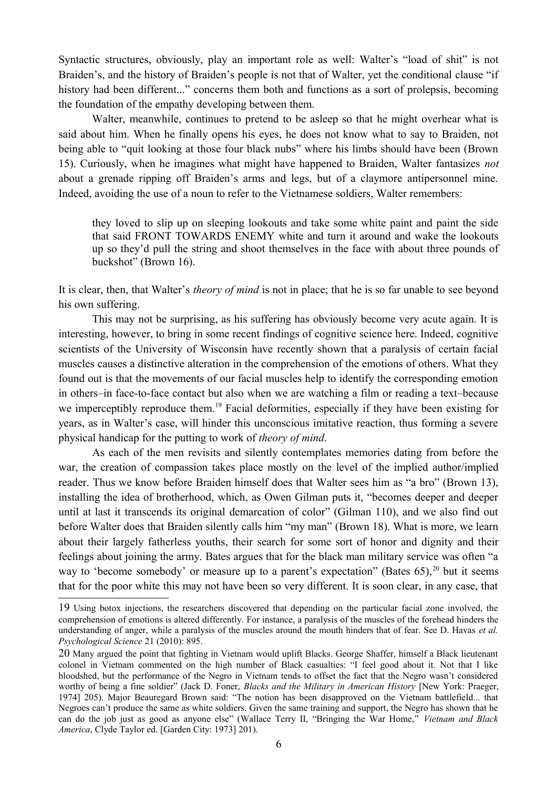Syntactic structures, obviously, play an important role as well: Walter's "load of shit" is not Braiden's, and the history of Braiden's people is not that of Walter, yet the conditional clause "if history had been different..." concerns them both and functions as a sort of prolepsis, becoming the foundation of the empathy developing between them.

Walter, meanwhile, continues to pretend to be asleep so that he might overhear what is said about him. When he finally opens his eyes, he does not know what to say to Braiden, not being able to "quit looking at those four black nubs" where his limbs should have been (Brown 15). Curiously, when he imagines what might have happened to Braiden, Walter fantasizes *not* about a grenade ripping off Braiden's arms and legs, but of a claymore antipersonnel mine. Indeed, avoiding the use of a noun to refer to the Vietnamese soldiers, Walter remembers:

they loved to slip up on sleeping lookouts and take some white paint and paint the side that said FRONT TOWARDS ENEMY white and turn it around and wake the lookouts up so they'd pull the string and shoot themselves in the face with about three pounds of buckshot" (Brown 16).

It is clear, then, that Walter's *theory of mind* is not in place; that he is so far unable to see beyond his own suffering.

This may not be surprising, as his suffering has obviously become very acute again. It is interesting, however, to bring in some recent findings of cognitive science here. Indeed, cognitive scientists of the University of Wisconsin have recently shown that a paralysis of certain facial muscles causes a distinctive alteration in the comprehension of the emotions of others. What they found out is that the movements of our facial muscles help to identify the corresponding emotion in others–in face-to-face contact but also when we are watching a film or reading a text–because we imperceptibly reproduce them.<sup>[19](#page-5-0)</sup> Facial deformities, especially if they have been existing for years, as in Walter's case, will hinder this unconscious imitative reaction, thus forming a severe physical handicap for the putting to work of *theory of mind*.

As each of the men revisits and silently contemplates memories dating from before the war, the creation of compassion takes place mostly on the level of the implied author/implied reader. Thus we know before Braiden himself does that Walter sees him as "a bro" (Brown 13), installing the idea of brotherhood, which, as Owen Gilman puts it, "becomes deeper and deeper until at last it transcends its original demarcation of color" (Gilman 110), and we also find out before Walter does that Braiden silently calls him "my man" (Brown 18). What is more, we learn about their largely fatherless youths, their search for some sort of honor and dignity and their feelings about joining the army. Bates argues that for the black man military service was often "a way to 'become somebody' or measure up to a parent's expectation" (Bates  $65$ ),  $20$  but it seems that for the poor white this may not have been so very different. It is soon clear, in any case, that

<span id="page-5-0"></span><sup>19</sup> Using botox injections, the researchers discovered that depending on the particular facial zone involved, the comprehension of emotions is altered differently. For instance, a paralysis of the muscles of the forehead hinders the understanding of anger, while a paralysis of the muscles around the mouth hinders that of fear. See D. Havas *et al. Psychological Science* 21 (2010): 895.

<span id="page-5-1"></span><sup>20</sup> Many argued the point that fighting in Vietnam would uplift Blacks. George Shaffer, himself a Black lieutenant colonel in Vietnam commented on the high number of Black casualties: "I feel good about it. Not that I like bloodshed, but the performance of the Negro in Vietnam tends to offset the fact that the Negro wasn't considered worthy of being a fine soldier" (Jack D. Foner, *Blacks and the Military in American History* [New York: Praeger, 1974] 205). Major Beauregard Brown said: "The notion has been disapproved on the Vietnam battlefield... that Negroes can't produce the same as white soldiers. Given the same training and support, the Negro has shown that he can do the job just as good as anyone else" (Wallace Terry II, "Bringing the War Home," *Vietnam and Black America*, Clyde Taylor ed. [Garden City: 1973] 201).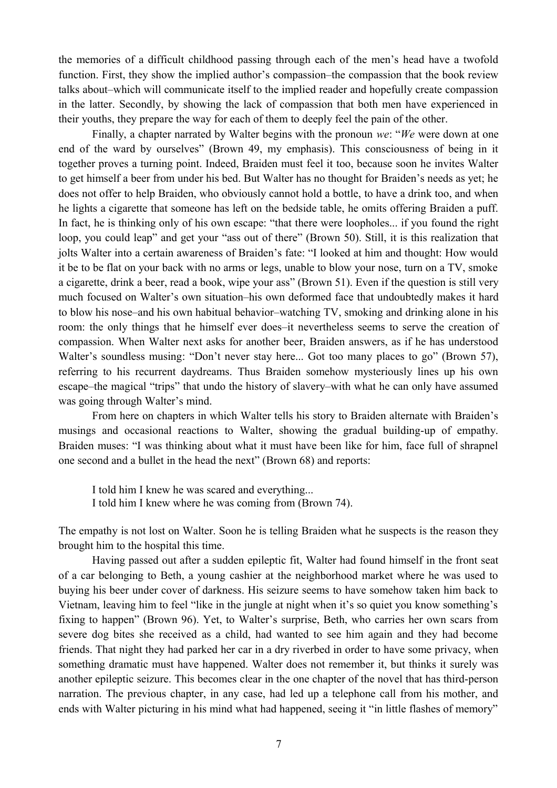the memories of a difficult childhood passing through each of the men's head have a twofold function. First, they show the implied author's compassion–the compassion that the book review talks about–which will communicate itself to the implied reader and hopefully create compassion in the latter. Secondly, by showing the lack of compassion that both men have experienced in their youths, they prepare the way for each of them to deeply feel the pain of the other.

Finally, a chapter narrated by Walter begins with the pronoun *we*: "*We* were down at one end of the ward by ourselves" (Brown 49, my emphasis). This consciousness of being in it together proves a turning point. Indeed, Braiden must feel it too, because soon he invites Walter to get himself a beer from under his bed. But Walter has no thought for Braiden's needs as yet; he does not offer to help Braiden, who obviously cannot hold a bottle, to have a drink too, and when he lights a cigarette that someone has left on the bedside table, he omits offering Braiden a puff. In fact, he is thinking only of his own escape: "that there were loopholes... if you found the right loop, you could leap" and get your "ass out of there" (Brown 50). Still, it is this realization that jolts Walter into a certain awareness of Braiden's fate: "I looked at him and thought: How would it be to be flat on your back with no arms or legs, unable to blow your nose, turn on a TV, smoke a cigarette, drink a beer, read a book, wipe your ass" (Brown 51). Even if the question is still very much focused on Walter's own situation–his own deformed face that undoubtedly makes it hard to blow his nose–and his own habitual behavior–watching TV, smoking and drinking alone in his room: the only things that he himself ever does–it nevertheless seems to serve the creation of compassion. When Walter next asks for another beer, Braiden answers, as if he has understood Walter's soundless musing: "Don't never stay here... Got too many places to go" (Brown 57), referring to his recurrent daydreams. Thus Braiden somehow mysteriously lines up his own escape–the magical "trips" that undo the history of slavery–with what he can only have assumed was going through Walter's mind.

 From here on chapters in which Walter tells his story to Braiden alternate with Braiden's musings and occasional reactions to Walter, showing the gradual building-up of empathy. Braiden muses: "I was thinking about what it must have been like for him, face full of shrapnel one second and a bullet in the head the next" (Brown 68) and reports:

I told him I knew he was scared and everything... I told him I knew where he was coming from (Brown 74).

The empathy is not lost on Walter. Soon he is telling Braiden what he suspects is the reason they brought him to the hospital this time.

Having passed out after a sudden epileptic fit, Walter had found himself in the front seat of a car belonging to Beth, a young cashier at the neighborhood market where he was used to buying his beer under cover of darkness. His seizure seems to have somehow taken him back to Vietnam, leaving him to feel "like in the jungle at night when it's so quiet you know something's fixing to happen" (Brown 96). Yet, to Walter's surprise, Beth, who carries her own scars from severe dog bites she received as a child, had wanted to see him again and they had become friends. That night they had parked her car in a dry riverbed in order to have some privacy, when something dramatic must have happened. Walter does not remember it, but thinks it surely was another epileptic seizure. This becomes clear in the one chapter of the novel that has third-person narration. The previous chapter, in any case, had led up a telephone call from his mother, and ends with Walter picturing in his mind what had happened, seeing it "in little flashes of memory"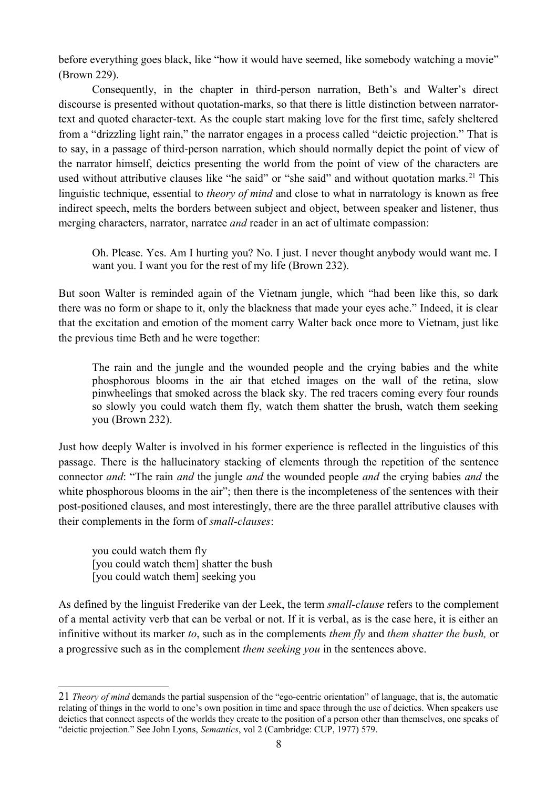before everything goes black, like "how it would have seemed, like somebody watching a movie" (Brown 229).

Consequently, in the chapter in third-person narration, Beth's and Walter's direct discourse is presented without quotation-marks, so that there is little distinction between narratortext and quoted character-text. As the couple start making love for the first time, safely sheltered from a "drizzling light rain," the narrator engages in a process called "deictic projection." That is to say, in a passage of third-person narration, which should normally depict the point of view of the narrator himself, deictics presenting the world from the point of view of the characters are used without attributive clauses like "he said" or "she said" and without quotation marks.<sup>[21](#page-7-0)</sup> This linguistic technique, essential to *theory of mind* and close to what in narratology is known as free indirect speech, melts the borders between subject and object, between speaker and listener, thus merging characters, narrator, narratee *and* reader in an act of ultimate compassion:

Oh. Please. Yes. Am I hurting you? No. I just. I never thought anybody would want me. I want you. I want you for the rest of my life (Brown 232).

But soon Walter is reminded again of the Vietnam jungle, which "had been like this, so dark there was no form or shape to it, only the blackness that made your eyes ache." Indeed, it is clear that the excitation and emotion of the moment carry Walter back once more to Vietnam, just like the previous time Beth and he were together:

The rain and the jungle and the wounded people and the crying babies and the white phosphorous blooms in the air that etched images on the wall of the retina, slow pinwheelings that smoked across the black sky. The red tracers coming every four rounds so slowly you could watch them fly, watch them shatter the brush, watch them seeking you (Brown 232).

Just how deeply Walter is involved in his former experience is reflected in the linguistics of this passage. There is the hallucinatory stacking of elements through the repetition of the sentence connector *and*: "The rain *and* the jungle *and* the wounded people *and* the crying babies *and* the white phosphorous blooms in the air"; then there is the incompleteness of the sentences with their post-positioned clauses, and most interestingly, there are the three parallel attributive clauses with their complements in the form of *small-clauses*:

you could watch them fly [you could watch them] shatter the bush [you could watch them] seeking you

As defined by the linguist Frederike van der Leek, the term *small-clause* refers to the complement of a mental activity verb that can be verbal or not. If it is verbal, as is the case here, it is either an infinitive without its marker *to*, such as in the complements *them fly* and *them shatter the bush,* or a progressive such as in the complement *them seeking you* in the sentences above.

<span id="page-7-0"></span><sup>21</sup> *Theory of mind* demands the partial suspension of the "ego-centric orientation" of language, that is, the automatic relating of things in the world to one's own position in time and space through the use of deictics. When speakers use deictics that connect aspects of the worlds they create to the position of a person other than themselves, one speaks of "deictic projection." See John Lyons, *Semantics*, vol 2 (Cambridge: CUP, 1977) 579.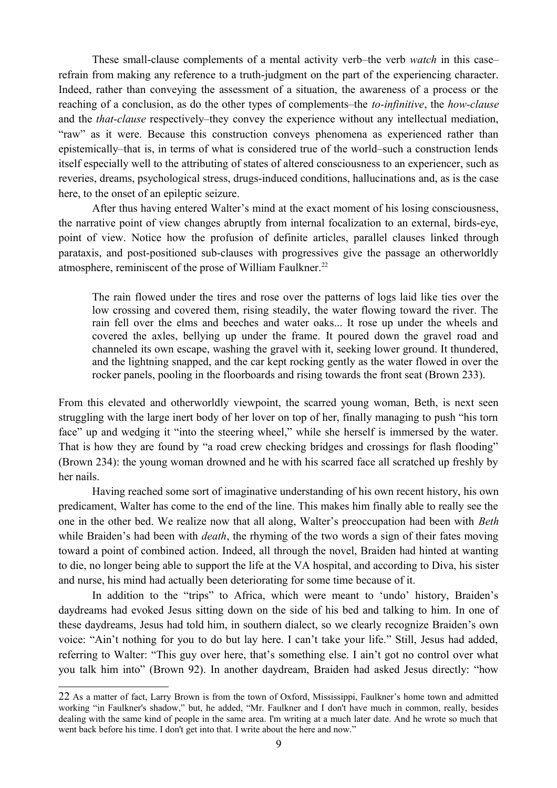These small-clause complements of a mental activity verb–the verb *watch* in this case– refrain from making any reference to a truth-judgment on the part of the experiencing character. Indeed, rather than conveying the assessment of a situation, the awareness of a process or the reaching of a conclusion, as do the other types of complements–the *to-infinitive*, the *how-clause* and the *that-clause* respectively–they convey the experience without any intellectual mediation, "raw" as it were. Because this construction conveys phenomena as experienced rather than epistemically–that is, in terms of what is considered true of the world–such a construction lends itself especially well to the attributing of states of altered consciousness to an experiencer, such as reveries, dreams, psychological stress, drugs-induced conditions, hallucinations and, as is the case here, to the onset of an epileptic seizure.

After thus having entered Walter's mind at the exact moment of his losing consciousness, the narrative point of view changes abruptly from internal focalization to an external, birds-eye, point of view. Notice how the profusion of definite articles, parallel clauses linked through parataxis, and post-positioned sub-clauses with progressives give the passage an otherworldly atmosphere, reminiscent of the prose of William Faulkner.<sup>[22](#page-8-0)</sup>

The rain flowed under the tires and rose over the patterns of logs laid like ties over the low crossing and covered them, rising steadily, the water flowing toward the river. The rain fell over the elms and beeches and water oaks... It rose up under the wheels and covered the axles, bellying up under the frame. It poured down the gravel road and channeled its own escape, washing the gravel with it, seeking lower ground. It thundered, and the lightning snapped, and the car kept rocking gently as the water flowed in over the rocker panels, pooling in the floorboards and rising towards the front seat (Brown 233).

From this elevated and otherworldly viewpoint, the scarred young woman, Beth, is next seen struggling with the large inert body of her lover on top of her, finally managing to push "his torn face" up and wedging it "into the steering wheel," while she herself is immersed by the water. That is how they are found by "a road crew checking bridges and crossings for flash flooding" (Brown 234): the young woman drowned and he with his scarred face all scratched up freshly by her nails.

Having reached some sort of imaginative understanding of his own recent history, his own predicament, Walter has come to the end of the line. This makes him finally able to really see the one in the other bed. We realize now that all along, Walter's preoccupation had been with *Beth* while Braiden's had been with *death*, the rhyming of the two words a sign of their fates moving toward a point of combined action. Indeed, all through the novel, Braiden had hinted at wanting to die, no longer being able to support the life at the VA hospital, and according to Diva, his sister and nurse, his mind had actually been deteriorating for some time because of it.

In addition to the "trips" to Africa, which were meant to 'undo' history, Braiden's daydreams had evoked Jesus sitting down on the side of his bed and talking to him. In one of these daydreams, Jesus had told him, in southern dialect, so we clearly recognize Braiden's own voice: "Ain't nothing for you to do but lay here. I can't take your life." Still, Jesus had added, referring to Walter: "This guy over here, that's something else. I ain't got no control over what you talk him into" (Brown 92). In another daydream, Braiden had asked Jesus directly: "how

<span id="page-8-0"></span><sup>22</sup> As a matter of fact, Larry Brown is from the town of Oxford, Mississippi, Faulkner's home town and admitted working "in Faulkner's shadow," but, he added, "Mr. Faulkner and I don't have much in common, really, besides dealing with the same kind of people in the same area. I'm writing at a much later date. And he wrote so much that went back before his time. I don't get into that. I write about the here and now."